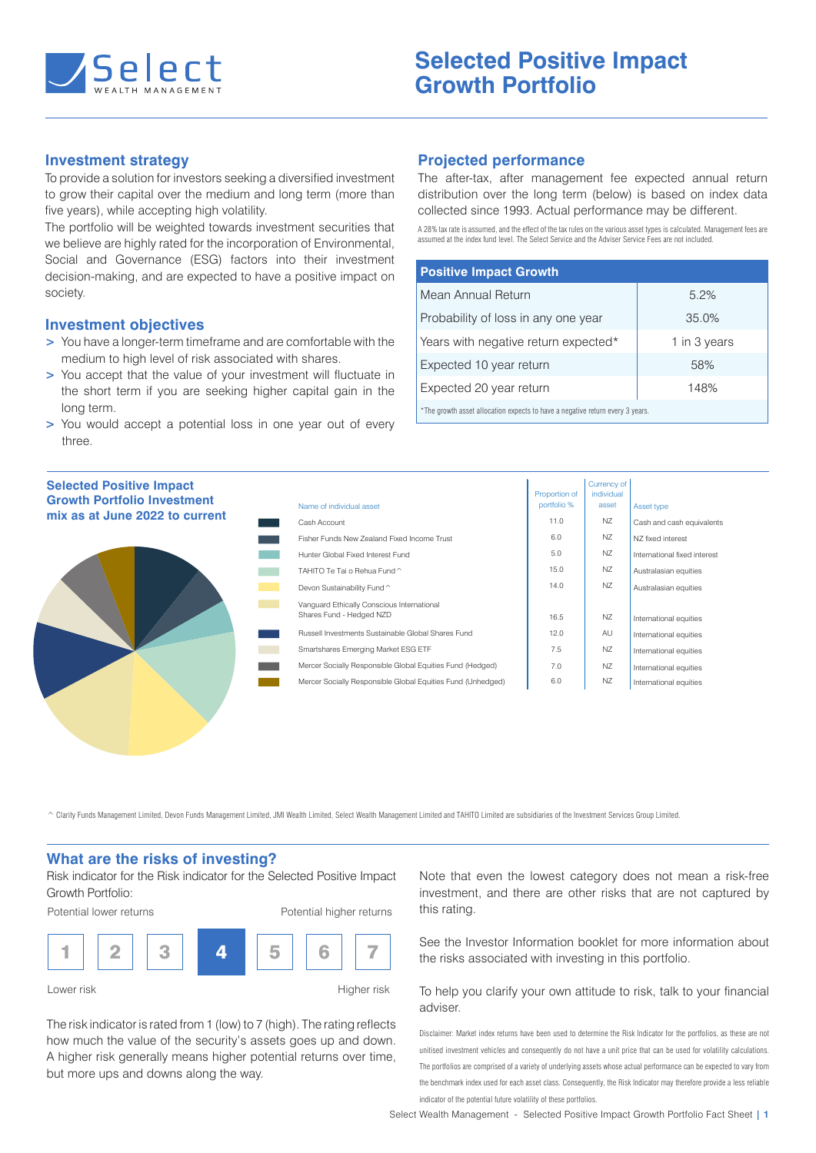

## **Investment strategy**

To provide a solution for investors seeking a diversified investment to grow their capital over the medium and long term (more than five years), while accepting high volatility.

The portfolio will be weighted towards investment securities that we believe are highly rated for the incorporation of Environmental, Social and Governance (ESG) factors into their investment decision-making, and are expected to have a positive impact on society.

#### **Investment objectives**

- **>** You have a longer-term timeframe and are comfortable with the medium to high level of risk associated with shares.
- **>** You accept that the value of your investment will fluctuate in the short term if you are seeking higher capital gain in the long term.
- **>** You would accept a potential loss in one year out of every three.

# **Projected performance**

The after-tax, after management fee expected annual return distribution over the long term (below) is based on index data collected since 1993. Actual performance may be different.

A 28% tax rate is assumed, and the effect of the tax rules on the various asset types is calculated. Management fees are assumed at the index fund level. The Select Service and the Adviser Service Fees are not included.

| <b>Positive Impact Growth</b>                                            |              |  |  |  |
|--------------------------------------------------------------------------|--------------|--|--|--|
| Mean Annual Return                                                       | 5.2%         |  |  |  |
| Probability of loss in any one year                                      | 35.0%        |  |  |  |
| Years with negative return expected*                                     | 1 in 3 years |  |  |  |
| Expected 10 year return                                                  | 58%          |  |  |  |
| Expected 20 year return                                                  | 148%         |  |  |  |
| *The grouth seed ellection expects to beye a peasive return even 2 years |              |  |  |  |

Currency of

asset allocation expects to have a negative return every 3 years.

| <b>Selected Positive Impact</b>    |                                                   |
|------------------------------------|---------------------------------------------------|
| <b>Growth Portfolio Investment</b> | Name of individual asset                          |
| mix as at June 2022 to current     | Cash Account                                      |
|                                    | Fisher Funds New Zeala                            |
|                                    | Hunter Global Fixed Inte                          |
|                                    | TAHITO Te Tai o Rehua                             |
|                                    | Devon Sustainability Fur                          |
|                                    | Vanguard Ethically Cons<br>Shares Fund - Hedged N |
|                                    | <b>Russell Investments Sus</b>                    |
|                                    | Smartshares Emerging M                            |
|                                    | Mercer Socially Respons                           |
|                                    | Mercer Socially Respons                           |
|                                    |                                                   |

| Name of individual asset                                               | Proportion of<br>portfolio % | <b>Currency of</b><br>individual<br>asset | Asset type                   |
|------------------------------------------------------------------------|------------------------------|-------------------------------------------|------------------------------|
| Cash Account                                                           | 11.0                         | NZ.                                       | Cash and cash equivalents    |
| Fisher Funds New Zealand Fixed Income Trust                            | 6.0                          | NZ                                        | N7 fixed interest            |
| Hunter Global Fixed Interest Fund                                      | 5.0                          | NZ                                        | International fixed interest |
| TAHITO Te Tai o Rehua Fund ^                                           | 15.0                         | NZ                                        | Australasian equities        |
| Devon Sustainability Fund ^                                            | 14.0                         | NZ                                        | Australasian equities        |
| Vanguard Ethically Conscious International<br>Shares Fund - Hedged NZD | 16.5                         | NZ                                        | International equities       |
| Russell Investments Sustainable Global Shares Fund                     | 12.0                         | AU                                        | International equities       |
| Smartshares Emerging Market ESG ETF                                    | 7.5                          | NZ                                        | International equities       |
| Mercer Socially Responsible Global Equities Fund (Hedged)              | 7.0                          | NZ                                        | International equities       |
| Mercer Socially Responsible Global Equities Fund (Unhedged)            | 6.0                          | NZ                                        | International equities       |

^ Clarity Funds Management Limited, Devon Funds Management Limited, JMI Wealth Limited, Select Wealth Management Limited and TAHITO Limited are subsidiaries of the Investment Services Group Limited.

## **What are the risks of investing?**

Risk indicator for the Risk indicator for the Selected Positive Impact Growth Portfolio:

Potential lower returns

Potential higher returns



Lower risk **Higher risk** 

The risk indicator is rated from 1 (low) to 7 (high). The rating reflects how much the value of the security's assets goes up and down. A higher risk generally means higher potential returns over time, but more ups and downs along the way.

Note that even the lowest category does not mean a risk-free investment, and there are other risks that are not captured by this rating.

See the Investor Information booklet for more information about the risks associated with investing in this portfolio.

To help you clarify your own attitude to risk, talk to your financial adviser.

Disclaimer: Market index returns have been used to determine the Risk Indicator for the portfolios, as these are not unitised investment vehicles and consequently do not have a unit price that can be used for volatility calculations. The portfolios are comprised of a variety of underlying assets whose actual performance can be expected to vary from the benchmark index used for each asset class. Consequently, the Risk Indicator may therefore provide a less reliable indicator of the potential future volatility of these portfolios.